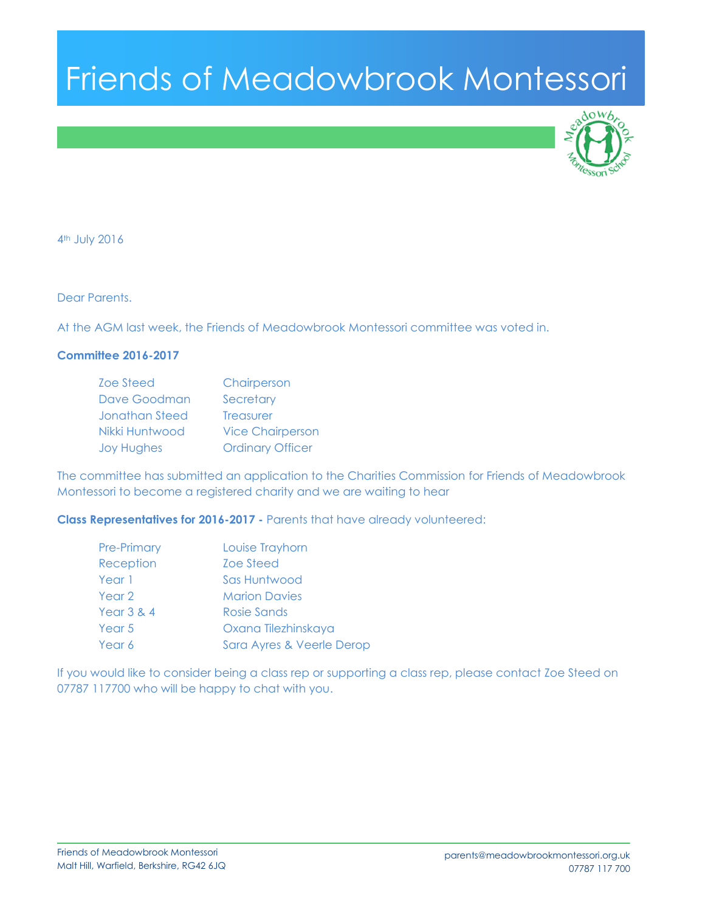# Friends of Meadowbrook Montessori



4th July 2016

Dear Parents.

At the AGM last week, the Friends of Meadowbrook Montessori committee was voted in.

## **Committee 2016-2017**

| <b>Zoe Steed</b>  | Chairperson             |
|-------------------|-------------------------|
| Dave Goodman      | Secretary               |
| Jonathan Steed    | <b>Treasurer</b>        |
| Nikki Huntwood    | <b>Vice Chairperson</b> |
| <b>Joy Hughes</b> | <b>Ordinary Officer</b> |

The committee has submitted an application to the Charities Commission for Friends of Meadowbrook Montessori to become a registered charity and we are waiting to hear

**Class Representatives for 2016-2017 -** Parents that have already volunteered:

| <b>Pre-Primary</b>    | Louise Trayhorn           |
|-----------------------|---------------------------|
| Reception             | Zoe Steed                 |
| Year 1                | Sas Huntwood              |
| Year 2                | <b>Marion Davies</b>      |
| <b>Year 3 &amp; 4</b> | Rosie Sands               |
| Year 5                | Oxana Tilezhinskaya       |
| Year 6                | Sara Ayres & Veerle Derop |

If you would like to consider being a class rep or supporting a class rep, please contact Zoe Steed on 07787 117700 who will be happy to chat with you.